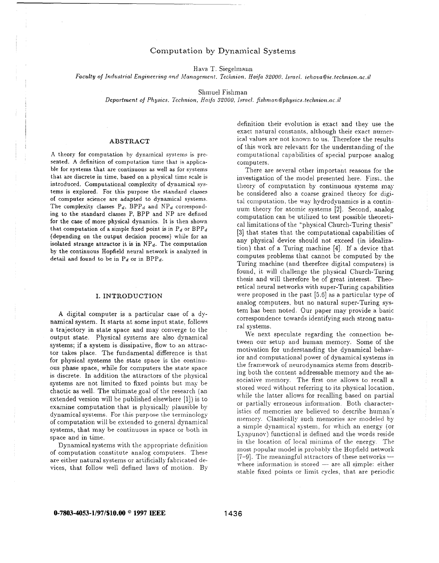# *Computation by Dynamical Systems*

Hava T. Siegelmann

*Faculty of Industrial Engineering and Management. Technion. Haifa 32000. Israel. <i>iehava@ie.technion.ac.il* 

Shniuel Fishman

Department of Physics, Technion. Haifa 32000, Israel. fishman@physics.technion.ac.il

# ABSTRACT

A theory for computation by dynamical systems is presented. A definition of computation time that is applicable for systems that are continuous as well as for systems that are discrete in time, based on a physical time scale is introduced. Computational complexity of dynamical **sys**tems is explored. For this purpose the standard classes of computer science are adapted to dynamical systems. The complexity classes  $P_d$ ,  $BPP_d$  and  $NP_d$  corresponding to the standard classes P, BPP and NP are defined for the case of more physical dynamics. It is then shown that computation of a simple fixed point is in  $P_d$  or  $BPP_d$ (depending on the output decision process) while for an isolated strange attractor it is in  $NP_d$ . The computation by the continuous Hopfield neural network is analyzed in detail and found to be in  $P_d$  or in  $BPP_d$ .

### I. INTRODUCTION

**A** digital computer is a particular case of a dynamical system. It starts at some input state, follows a trajectory in state space and may converge to the output state. Physical systems are also dynamical systems; if a system is dissipative, flow to an attractor takes place. The fundamental difference is that. for physical systems the state space is the continuous phase space, while for computers the state space is discrete. In addition the attractors of the physical systems are not limited to fixed points but may be chaotic as well. The ultimate goal of the research **(an**  extended version will be published elsewhere [1]) is to examine computation that is physically plausible by dynamical systems. For this purpose the terminology of computation will be extended to general dynamical systems, that may be continuous in space or both in space and in time.

Dynamical systems with the appropriate definition of computation constitute analog computers. These are either natural systems or artificially fabricated devices, that. follow well defined laws of motion. By definition their evolution is exact and they use the exact natural constants, although their exact numerical values are not known to us. Therefore the results of this work are relevant for the understanding of the computational capabilities of special purpose analog computers

There are several other important reasons for the investigation of the model presented here. First, the theory of computation by continuous systems may be considered also a coarse grained theory for digital computation, the way hydrodynamics is a continuum theory for atomic systems [2]. Second, analog computation can be utilized to test possible theoretical limitations of the "physical Church-Turing thesis" [3] that states that the computational capabilities of any physical device should not exceed (in idealization) that of a Turing machine [4]. If a device that. computes problems that cannot be computed by the Turing machine (and therefore digital computers) is found, it will challenge the physical Church-Turing thesis and will therefore be of great interest. Theoretical neural networks with super-Turing capabilities were proposed in the past  $[5,6]$  as a particular type of analog computers, but no natural super-Turing system has been noted. Our paper may provide a basic correspondence towards identifying such strong natural systems.

We next speculate regarding the connection between our setup and human memory. Some of the motivation for understanding the dynamical behavior and computational power of dynamical systems in the framework of neurodynamics stems from describing both the content addressable memory and the associative memory. The first one allows to recall a stored word without referring to its physical location, while the latter allows for recalling based on partial or partially erroneous information. Both characteristics of memories are believed to describe human's memory. Classically such memories are modeled by a simple dynamical system, for which an energy (or Lyapunov) functional is defined and the words reside in the location of local minima of the energy. The most popular model is probably the Hopfield network  $[7-9]$ . The meaningful attractors of these networks  $$ where information is stored  $-$  are all simple: either stable fixed points or limit cycles, that are periodic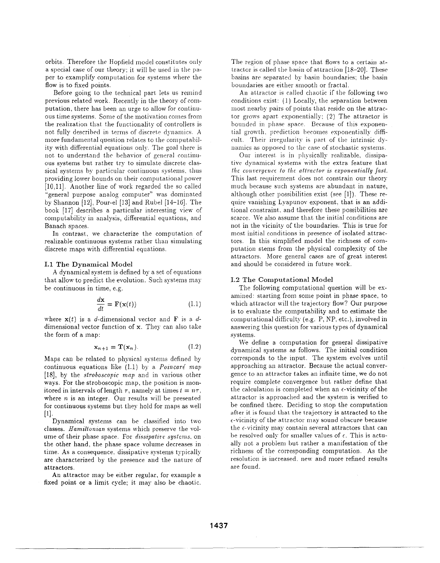orbits. Therefore the Hopfield model constitutes only a special case of our theory; it will be used in the paper to examplify computation for systems where the flow is to fixed points.

Before going to the technical part lets us remind previous related work. Recently in the theory of computation, there has been an urge to allow for continuous time systems. Some of the motivation comes from the realization that the functionality of controllers is not fully described in terms of discrete dynamics. A more fundamental question relates to the computability with differential equations only. The goal there is not to understand the behavior of general continuous systems but rather try to simulate discrete classical systems by particular continuous systems, thus providing lower bounds on their computational power [10,11]. Another line of work regarded the so called "general purpose analog computer" was dominated by Shannon [12], Pour-el [13] and Rubel [14-16]. The book [17] describes a particular interesting view of computability in analysis, differential equations, and Banach spaces.

In contrast, we characterize the computation of realizable continuous systems rather than simulating discrete maps with differential equations.

#### I.1 The Dynamical Model

A dynamical system is defined by a set of equations that allow to predict the evolution. Such systems may be continuous in time, e.g.

$$
\frac{d\mathbf{x}}{dt} = \mathbf{F}(\mathbf{x}(t))\tag{1.1}
$$

where  $x(t)$  is a d-dimensional vector and F is a ddimensional vector function of x. They can also take the form of a map:

$$
\mathbf{x}_{n+1} = \mathbf{T}(\mathbf{x}_n). \tag{I.2}
$$

Maps can be related to physical systems defined by continuous equations like  $(1.1)$  by a *Poincaré map* [18], by the *stroboscopic map* and in various other ways. For the stroboscopic map, the position is monitored in intervals of length  $\tau$ , namely at times  $t = n\tau$ , where  $n$  is an integer. Our results will be presented for continuous systems but they hold for maps as well  $[1]$ 

Dynamical systems can be classified into two classes. Hamiltonian systems which preserve the volume of their phase space. For *dissipative systems*, on the other hand, the phase space volume decreases in time. As a consequence, dissipative systems typically are characterized by the presence and the nature of attractors.

An attractor may be either regular, for example a fixed point or a limit cycle; it may also be chaotic. The region of phase space that flows to a certain attractor is called the basin of attraction [18-20]. These basins are separated by basin boundaries; the basin boundaries are either smooth or fractal.

An attractor is called chaotic if the following two conditions exist: (1) Locally, the separation between most nearby pairs of points that reside on the attractor grows apart exponentially; (2) The attractor is bounded in phase space. Because of this exponential growth, prediction becomes exponentially difficult. Their irregularity is part of the intrinsic dynamics as opposed to the case of stochastic systems.

Our interest is in physically realizable, dissipative dynamical systems with the extra feature that the convergence to the attractor is exponentially fast. This last requirement does not constrain our theory much because such systems are abundant in nature, although other possibilities exist (see [1]). These require vanishing Lyapunov exponent, that is an additional constraint, and therefore these possibilities are scarce. We also assume that the initial conditions are not in the vicinity of the boundaries. This is true for most initial conditions in presence of isolated attractors. In this simplified model the richness of computation stems from the physical complexity of the attractors. More general cases are of great interest and should be considered in future work.

# **I.2 The Computational Model**

The following computational question will be examined: starting from some point in phase space, to which attractor will the trajectory flow? Our purpose is to evaluate the computability and to estimate the computational difficulty (e.g. P, NP, etc.), involved in answering this question for various types of dynamical svstems.

We define a computation for general dissipative dynamical systems as follows. The initial condition corresponds to the input. The system evolves until approaching an attractor. Because the actual convergence to an attractor takes an infinite time, we do not require complete convergence but rather define that the calculation is completed when an e-vicinity of the attractor is approached and the system is verified to be confined there. Deciding to stop the computation after it is found that the trajectory is attracted to the e-vicinity of the attractor may sound obscure because the e-vicinity may contain several attractors that can be resolved only for smaller values of  $\epsilon$ . This is actually not a problem but rather a manifestation of the richness of the corresponding computation. As the resolution is increased, new and more refined results are found.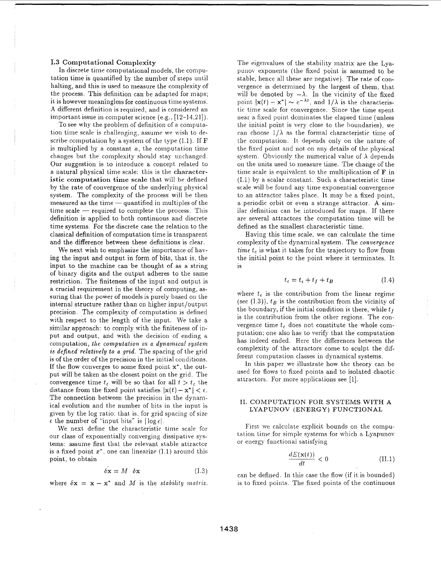# I.3 Computational Complexity

In discrete time computational models, the computation time is quantified by the number of steps until halting, and this is used to measure the complexity of the process. This definition can be adapted for maps; it is however meaningless for continuous time systems. A different definition is required, and is considered an important issue in computer science (e.g., [12-14,21]).

To see why the problem of definition of a computation time scale is challenging, assume we wish to describe computation by a system of the type  $(1.1)$ . If **F** is multiplied by a constant  $a$ , the computation time changes but the complexity should stay unchanged. Our suggestion is to introduce a concept related to a natural physical time scale: this is the characteristic computation time scale that will be defined by the rate of convergence of the underlying physical system. The complexity of the process will be then measured as the time - quantified in multiples of the  $time scale - required to complete the process. This$ definition is applied to both continuous and discrete time systems. For the discrete case the relation to the classical definition of computation time is transparent and the difference between these definitions is clear.

We next wish to emphasize the importance of having the input and output in form of bits, that is, the input to the machine can be thought of as a string of binary digits and the output adheres to the same restriction. The finiteness of the input and output is a crucial requirement in the theory of computing, assuring that the power of models is purely based on the internal structure rather than on higher input/output precision. The complexity of computation is defined with respect to the length of the input. We take a similar approach: to comply with the finiteness of input and output, and with the decision of ending a computation, the computation in a dynamical system is defined relatively to a grid. The spacing of the grid is of the order of the precision in the initial conditions. If the flow converges to some fixed point x\*, the output will be taken as the closest point on the grid. The convergence time  $t_c$  will be so that for all  $t > t_c$  the distance from the fixed point satisfies  $|x(t) - x^*| < \epsilon$ . The connection between the precision in the dynamical evolution and the number of bits in the input is given by the log ratio; that is, for grid spacing of size  $\epsilon$  the number of "input bits" is  $|\log \epsilon|$ .

We next define the characteristic time scale for our class of exponentially converging dissipative systems: assume first that the relevant stable attractor is a fixed point  $x^*$ , one can linearize (1.1) around this point, to obtain

$$
\delta \mathbf{x} = M \quad \delta \mathbf{x} \tag{1.3}
$$

where  $\delta x = x - x^*$  and M is the *stability matrix*.

The eigenvalues of the stability matrix are the Lyapunov exponents (the fixed point is assumed to be stable, hence all these are negative). The rate of convergence is determined by the largest of them, that will be denoted by  $-\lambda$ . In the vicinity of the fixed point  $|\mathbf{x}(t) - \mathbf{x}^*| \sim e^{-\lambda t}$ , and  $1/\lambda$  is the characteristic time scale for convergence. Since the time spent near a fixed point dominates the elapsed time (unless the initial point is very close to the boundaries), we can choose  $1/\lambda$  as the formal characteristic time of the computation. It depends only on the nature of the fixed point and not on any details of the physical system. Obviously the numerical value of  $\lambda$  depends on the units used to measure time. The change of the time scale is equivalent to the multiplication of F in (I.1) by a scalar constant. Such a characteristic time scale will be found any time exponential convergence to an attractor takes place. It may be a fixed point, a periodic orbit or even a strange attractor. A similar definition can be introduced for maps. If there are several attractors the computation time will be defined as the smallest characteristic time.

Having this time scale, we can calculate the time complexity of the dynamical system. The *convergence* time  $t_c$  is what it takes for the trajectory to flow from the initial point to the point where it terminates. It is

$$
t_c = t_{\epsilon} + t_f + t_B \tag{1.4}
$$

where  $t_{\epsilon}$  is the contribution from the linear regime (see  $(1.3)$ ),  $t_B$  is the contribution from the vicinity of the boundary, if the initial condition is there, while  $t_f$ is the contribution from the other regions. The convergence time  $t_c$  does not constitute the whole computation; one also has to verify that the computation has indeed ended. Here the differences between the complexity of the attractors come to sculpt the different computation classes in dynamical systems.

In this paper we illustrate how the theory can be used for flows to fixed points and to isolated chaotic attractors. For more applications see [1].

## II. COMPUTATION FOR SYSTEMS WITH A LYAPUNOV (ENERGY) FUNCTIONAL

First we calculate explicit bounds on the computation time for simple systems for which a Lyapunov or energy functional satisfying

$$
\frac{dE(\mathbf{x}(t))}{dt} < 0 \tag{II.1}
$$

can be defined. In this case the flow (if it is bounded) is to fixed points. The fixed points of the continuous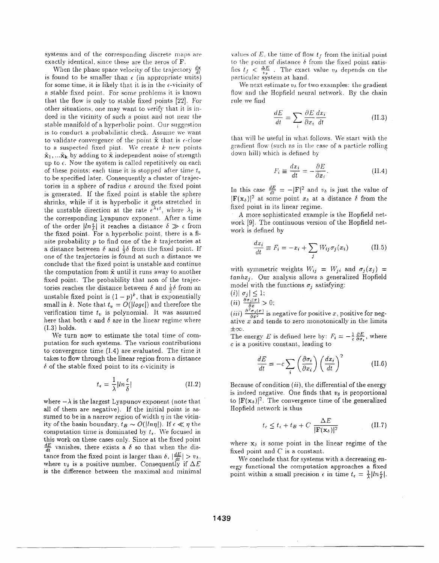systems and of the corresponding discrete maps are exactly identical, since these are the zeros of F.

When the phase space velocity of the trajectory  $\frac{dx}{dt}$ is found to be smaller than  $\epsilon$  (in appropriate units) for some time, it is likely that it is in the  $\epsilon$ -vicinity of a stable fixed point. For some problems it is known that the flow is only to stable fixed points [22]. For other situations, one may want to verify that it is indeed in the vicinity of such a point and not near the stable manifold of a hyperbolic point. Our suggestion is to conduct a probabilistic check. Assume we want to validate convergence of the point  $\tilde{\mathbf{x}}$  that is  $\epsilon$ -close to a suspected fixed pint. We create  $k$  new points  $\mathbf{\tilde{x}}_1, \dots \mathbf{\tilde{x}}_k$  by adding to  $\mathbf{\tilde{x}}$  independent noise of strength up to  $\epsilon$ . Now the system is called repetitively on each of these points; each time it is stopped after time  $t_v$ to be specified later. Consequently a cluster of trajectories in a sphere of radius  $\epsilon$  around the fixed point is generated. If the fixed point is stable the sphere shrinks, while if it is hyperbolic it gets stretched in the unstable direction at the rate  $e^{\lambda_1 t}$ , where  $\lambda_1$  is<br>the corresponding Lyapunov exponent. After a time of the order  $\left|\ln \frac{\epsilon}{\lambda}\right|$  it reaches a distance  $\delta \gg \epsilon$  from the fixed point. For a hyperbolic point, there is a finite probability  $p$  to find one of the  $k$  trajectories at a distance between  $\delta$  and  $\frac{1}{2}\delta$  from the fixed point. If one of the trajectories is found at such a distance we conclude that the fixed point is unstable and continue the computation from  $\tilde{x}$  until it runs away to another fixed point. The probability that non of the trajectories reaches the distance between  $\delta$  and  $\frac{1}{2}\delta$  from an unstable fixed point is  $(1-p)^k$ , that is exponentially small in k. Note that  $t_v = O(|log \epsilon|)$  and therefore the verification time  $t_v$  is polynomial. It was assumed here that both  $\epsilon$  and  $\delta$  are in the linear regime where  $(I.3)$  holds.

We turn now to estimate the total time of computation for such systems. The various contributions to convergence time  $(1.4)$  are evaluated. The time it takes to flow through the linear region from a distance  $\delta$  of the stable fixed point to its  $\epsilon$ -vicinity is

$$
t_{\epsilon} = \frac{1}{\lambda} |ln \frac{\epsilon}{\delta}| \tag{II.2}
$$

where  $-\lambda$  is the largest Lyapunov exponent (note that all of them are negative). If the initial point is assumed to be in a narrow region of width  $\eta$  in the vicinity of the basin boundary,  $t_B \sim O(|ln \eta|)$ . If  $\epsilon \ll \eta$  the computation time is dominated by  $t_{\epsilon}$ . We focused in this work on these cases only. Since at the fixed point  $\frac{dE}{dt}$  vanishes, there exists a  $\delta$  so that when the distance from the fixed point is larger than  $\delta$ ,  $\left|\frac{dE}{dt}\right| > v_{\delta}$ , where  $v_{\delta}$  is a positive number. Consequently if  $\Delta E$ is the difference between the maximal and minimal

values of E, the time of flow  $t_f$  from the initial point to the point of distance  $\delta$  from the fixed point satisfies  $t_f < \frac{\Delta E}{v_s}$ . The exact value  $v_b$  depends on the particular system at hand.

We next estimate  $v_{\delta}$  for two examples: the gradient flow and the Hopfield neural network. By the chain rule we find

$$
\frac{dE}{dt} = \sum_{i} \frac{\partial E}{\partial x_i} \frac{dx_i}{dt}
$$
 (II.3)

that will be useful in what follows. We start with the gradient flow (such as in the case of a particle rolling down hill) which is defined by

$$
F_i \equiv \frac{dx_i}{dt} = -\frac{\partial E}{\partial x_i}.
$$
 (II.4)

In this case  $\frac{dE}{dt} = -|\mathbf{F}|^2$  and  $v_\delta$  is just the value of  $|\mathbf{F}(x_\delta)|^2$  at some point  $x_\delta$  at a distance  $\delta$  from the fixed point in its linear regime.

A more sophisticated example is the Hopfield network [9]. The continuous version of the Hopfield network is defined by

$$
\frac{dx_i}{dt} \equiv F_i = -x_i + \sum_j W_{ij} \sigma_j(x_i)
$$
 (II.5)

with symmetric weights  $W_{ij} = W_{ji}$  and  $\sigma_j(x_j) =$  $tanhx<sub>i</sub>$ . Our analysis allows a generalized Hopfield model with the functions  $\sigma_i$  satisfying:

(i)  $\sigma_j \le 1$ ;<br>
(ii)  $\frac{\partial \sigma_j(x)}{\partial x} > 0$ ;<br>
(iii)  $\frac{\partial^2 \sigma_j(x)}{\partial x^2}$  is negative for positive x, positive for negative  $x$  and tends to zero monotonically in the limits  $\pm\infty$ .

The energy E is defined here by:  $F_i = -\frac{1}{6} \frac{\partial E}{\partial \sigma_i}$ , where  $c$  is a positive constant, leading to

$$
\frac{dE}{dt} = -c \sum_{i} \left( \frac{\partial \sigma_i}{\partial x_i} \right) \left( \frac{dx_i}{dt} \right)^2 \tag{II.6}
$$

Because of condition  $(ii)$ , the differential of the energy is indeed negative. One finds that  $v_{\delta}$  is proportional to  $|\mathbf{F}(\mathbf{x}_{\delta})|^2$ . The convergence time of the generalized Hopfield network is thus

$$
t_c \le t_{\epsilon} + t_B + C \frac{\Delta E}{|\mathbf{F}(\mathbf{x}_{\delta})|^2}
$$
 (II.7)

where  $x_{\delta}$  is some point in the linear regime of the fixed point and  $C$  is a constant.

We conclude that for systems with a decreasing energy functional the computation approaches a fixed point within a small precision  $\epsilon$  in time  $t_{\epsilon} = \frac{1}{\lambda} |ln \frac{\epsilon}{\delta}|$ .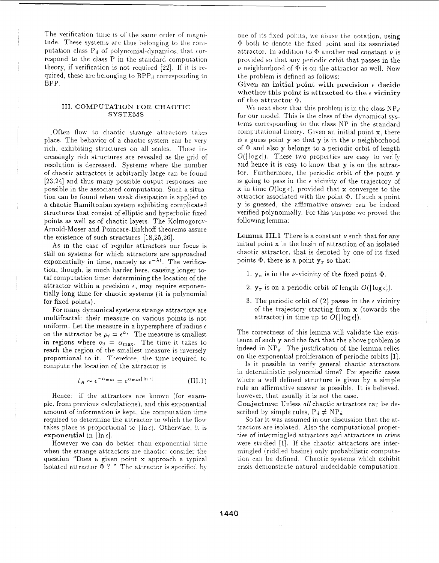The verification time is of the same order of magnitude. These systems are thus belonging to the computation class  $P_d$  of polynomial-dynamics, that correspond to the class P in the standard computation theory, if verification is not required [22]. If it is required, these are belonging to  $BPP_d$  corresponding to BPP.

# III. COMPUTATION FOR CHAOTIC **SYSTEMS**

Often flow to chaotic strange attractors takes place. The behavior of a chaotic system can be very rich, exhibiting structures on all scales. These increasingly rich structures are revealed as the grid of resolution is decreased. Systems where the number of chaotic attractors is arbitrarily large can be found [23,24] and thus many possible output responses are possible in the associated computation. Such a situation can be found when weak dissipation is applied to a chaotic Hamiltonian system exhibiting complicated structures that consist of elliptic and hyperbolic fixed points as well as of chaotic lavers. The Kolmogorov-Arnold-Moser and Poincare-Birkhoff theorems assure the existence of such structures  $[18,25,26]$ .

As in the case of regular attractors our focus is still on systems for which attractors are approached exponentially in time, namely as  $e^{-\lambda t}$ . The verification, though, is much harder here, causing longer total computation time: determining the location of the attractor within a precision  $\epsilon$ , may require exponentially long time for chaotic systems (it is polynomial for fixed points).

For many dynamical systems strange attractors are multifractal: their measure on various points is not uniform. Let the measure in a hypersphere of radius  $\epsilon$ on the attractor be  $\mu_i = \epsilon^{\alpha_i}$ . The measure is smallest in regions where  $\alpha_i = \alpha_{\text{max}}$ . The time it takes to reach the region of the smallest measure is inversely proportional to it. Therefore, the time required to compute the location of the attractor is

$$
t_A \sim \epsilon^{-\alpha_{\max}} = e^{\alpha_{\max} |\ln \epsilon|} \tag{III.1}
$$

Hence: if the attractors are known (for example, from previous calculations), and this exponential amount of information is kept, the computation time required to determine the attractor to which the flow takes place is proportional to  $\ln \epsilon$ . Otherwise, it is exponential in  $|\ln \epsilon|$ .

However we can do better than exponential time when the strange attractors are chaotic: consider the question "Does a given point x approach a typical isolated attractor  $\Phi$  ? " The attractor is specified by

one of its fixed points, we abuse the notation, using  $\Phi$  both to denote the fixed point and its associated attractor. In addition to  $\Phi$  another real constant  $\nu$  is provided so that any periodic orbit that passes in the  $\nu$  neighborhood of  $\Phi$  is on the attractor as well. Now the problem is defined as follows:

Given an initial point with precision  $\epsilon$  decide whether this point is attracted to the  $\epsilon$  vicinity of the attractor  $\Phi$ .

We next show that this problem is in the class  $NP<sub>d</sub>$ for our model. This is the class of the dynamical systems corresponding to the class NP in the standard computational theory. Given an initial point  $x$ , there is a guess point  $y$  so that  $y$  is in the  $\nu$  neighborhood of  $\Phi$  and also y belongs to a periodic orbit of length  $O(|\log \epsilon|)$ . These two properties are easy to verify and hence it is easy to know that  $\mathbf v$  is on the attractor. Furthermore, the periodic orbit of the point  $\bf{v}$ is going to pass in the  $\epsilon$  vicinity of the trajectory of x in time  $O(\log \epsilon)$ , provided that x converges to the attractor associated with the point  $\Phi$ . If such a point y is guessed, the affirmative answer can be indeed verified polynomially. For this purpose we proved the following lemma:

Lemma III.1 There is a constant  $\nu$  such that for any initial point x in the basin of attraction of an isolated chaotic attractor, that is denoted by one of its fixed points  $\Phi$ , there is a point  $y_x$  so that:

- 1.  $y_x$  is in the *v*-vicinity of the fixed point  $\Phi$ .
- 2.  $y_x$  is on a periodic orbit of length  $O(|\log \epsilon|)$ .
- 3. The periodic orbit of  $(2)$  passes in the  $\epsilon$  vicinity of the trajectory starting from **x** (towards the attractor) in time up to  $O(|\log \epsilon|)$ .

The correctness of this lemma will validate the existence of such y and the fact that the above problem is indeed in  $NP_d$ . The justification of the lemma relies on the exponential proliferation of periodic orbits [1].

Is it possible to verify general chaotic attractors in deterministic polynomial time? For specific cases where a well defined structure is given by a simple rule an affirmative answer is possible. It is believed, however, that usually it is not the case.

Conjecture: Unless all chaotic attractors can be described by simple rules,  $P_d \neq NP_d$ 

So far it was assumed in our discussion that the attractors are isolated. Also the computational properties of intermingled attractors and attractors in crisis were studied [1]. If the chaotic attractors are intermingled (riddled basins) only probabilistic computation can be defined. Chaotic systems which exhibit crisis demonstrate natural undecidable computation.